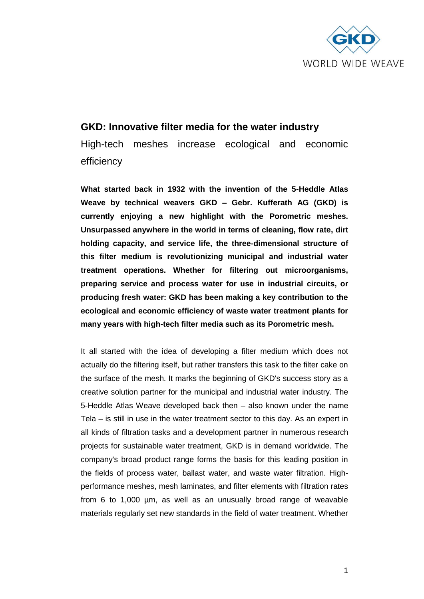

## **GKD: Innovative filter media for the water industry**

High-tech meshes increase ecological and economic efficiency

**What started back in 1932 with the invention of the 5-Heddle Atlas Weave by technical weavers GKD – Gebr. Kufferath AG (GKD) is currently enjoying a new highlight with the Porometric meshes. Unsurpassed anywhere in the world in terms of cleaning, flow rate, dirt holding capacity, and service life, the three-dimensional structure of this filter medium is revolutionizing municipal and industrial water treatment operations. Whether for filtering out microorganisms, preparing service and process water for use in industrial circuits, or producing fresh water: GKD has been making a key contribution to the ecological and economic efficiency of waste water treatment plants for many years with high-tech filter media such as its Porometric mesh.** 

It all started with the idea of developing a filter medium which does not actually do the filtering itself, but rather transfers this task to the filter cake on the surface of the mesh. It marks the beginning of GKD's success story as a creative solution partner for the municipal and industrial water industry. The 5-Heddle Atlas Weave developed back then – also known under the name Tela – is still in use in the water treatment sector to this day. As an expert in all kinds of filtration tasks and a development partner in numerous research projects for sustainable water treatment, GKD is in demand worldwide. The company's broad product range forms the basis for this leading position in the fields of process water, ballast water, and waste water filtration. Highperformance meshes, mesh laminates, and filter elements with filtration rates from 6 to 1,000 µm, as well as an unusually broad range of weavable materials regularly set new standards in the field of water treatment. Whether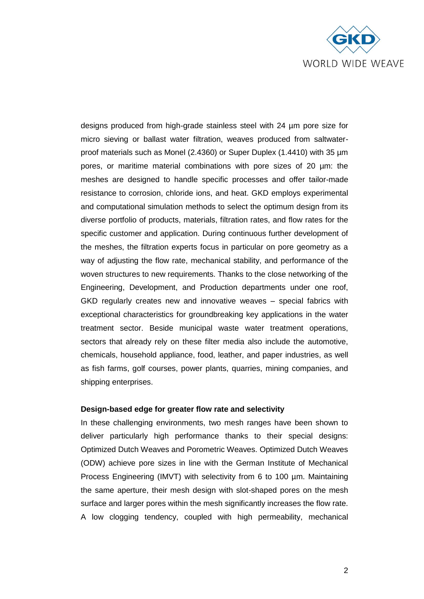

designs produced from high-grade stainless steel with 24 µm pore size for micro sieving or ballast water filtration, weaves produced from saltwaterproof materials such as Monel (2.4360) or Super Duplex (1.4410) with 35 µm pores, or maritime material combinations with pore sizes of 20 µm: the meshes are designed to handle specific processes and offer tailor-made resistance to corrosion, chloride ions, and heat. GKD employs experimental and computational simulation methods to select the optimum design from its diverse portfolio of products, materials, filtration rates, and flow rates for the specific customer and application. During continuous further development of the meshes, the filtration experts focus in particular on pore geometry as a way of adjusting the flow rate, mechanical stability, and performance of the woven structures to new requirements. Thanks to the close networking of the Engineering, Development, and Production departments under one roof, GKD regularly creates new and innovative weaves – special fabrics with exceptional characteristics for groundbreaking key applications in the water treatment sector. Beside municipal waste water treatment operations, sectors that already rely on these filter media also include the automotive, chemicals, household appliance, food, leather, and paper industries, as well as fish farms, golf courses, power plants, quarries, mining companies, and shipping enterprises.

## **Design-based edge for greater flow rate and selectivity**

In these challenging environments, two mesh ranges have been shown to deliver particularly high performance thanks to their special designs: Optimized Dutch Weaves and Porometric Weaves. Optimized Dutch Weaves (ODW) achieve pore sizes in line with the German Institute of Mechanical Process Engineering (IMVT) with selectivity from 6 to 100 µm. Maintaining the same aperture, their mesh design with slot-shaped pores on the mesh surface and larger pores within the mesh significantly increases the flow rate. A low clogging tendency, coupled with high permeability, mechanical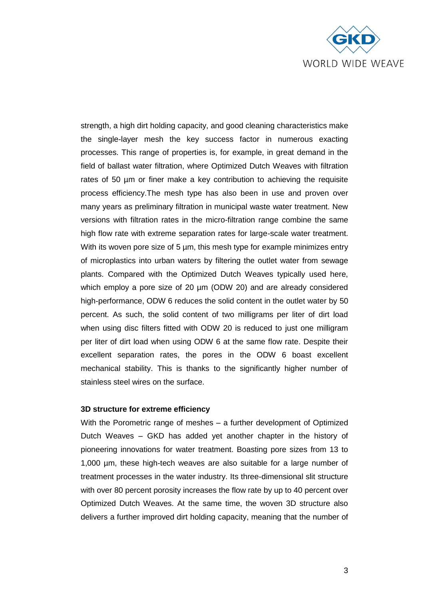

strength, a high dirt holding capacity, and good cleaning characteristics make the single-layer mesh the key success factor in numerous exacting processes. This range of properties is, for example, in great demand in the field of ballast water filtration, where Optimized Dutch Weaves with filtration rates of 50 µm or finer make a key contribution to achieving the requisite process efficiency.The mesh type has also been in use and proven over many years as preliminary filtration in municipal waste water treatment. New versions with filtration rates in the micro-filtration range combine the same high flow rate with extreme separation rates for large-scale water treatment. With its woven pore size of 5 µm, this mesh type for example minimizes entry of microplastics into urban waters by filtering the outlet water from sewage plants. Compared with the Optimized Dutch Weaves typically used here, which employ a pore size of 20 um (ODW 20) and are already considered high-performance, ODW 6 reduces the solid content in the outlet water by 50 percent. As such, the solid content of two milligrams per liter of dirt load when using disc filters fitted with ODW 20 is reduced to just one milligram per liter of dirt load when using ODW 6 at the same flow rate. Despite their excellent separation rates, the pores in the ODW 6 boast excellent mechanical stability. This is thanks to the significantly higher number of stainless steel wires on the surface.

## **3D structure for extreme efficiency**

With the Porometric range of meshes – a further development of Optimized Dutch Weaves – GKD has added yet another chapter in the history of pioneering innovations for water treatment. Boasting pore sizes from 13 to 1,000 µm, these high-tech weaves are also suitable for a large number of treatment processes in the water industry. Its three-dimensional slit structure with over 80 percent porosity increases the flow rate by up to 40 percent over Optimized Dutch Weaves. At the same time, the woven 3D structure also delivers a further improved dirt holding capacity, meaning that the number of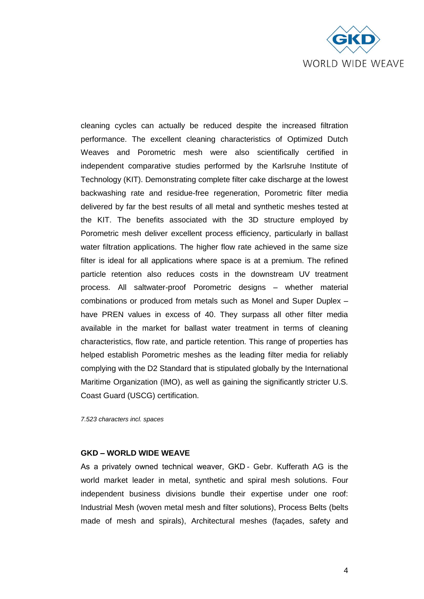

cleaning cycles can actually be reduced despite the increased filtration performance. The excellent cleaning characteristics of Optimized Dutch Weaves and Porometric mesh were also scientifically certified in independent comparative studies performed by the Karlsruhe Institute of Technology (KIT). Demonstrating complete filter cake discharge at the lowest backwashing rate and residue-free regeneration, Porometric filter media delivered by far the best results of all metal and synthetic meshes tested at the KIT. The benefits associated with the 3D structure employed by Porometric mesh deliver excellent process efficiency, particularly in ballast water filtration applications. The higher flow rate achieved in the same size filter is ideal for all applications where space is at a premium. The refined particle retention also reduces costs in the downstream UV treatment process. All saltwater-proof Porometric designs – whether material combinations or produced from metals such as Monel and Super Duplex – have PREN values in excess of 40. They surpass all other filter media available in the market for ballast water treatment in terms of cleaning characteristics, flow rate, and particle retention. This range of properties has helped establish Porometric meshes as the leading filter media for reliably complying with the D2 Standard that is stipulated globally by the International Maritime Organization (IMO), as well as gaining the significantly stricter U.S. Coast Guard (USCG) certification.

*7.523 characters incl. spaces*

## **GKD – WORLD WIDE WEAVE**

As a privately owned technical weaver, GKD - Gebr. Kufferath AG is the world market leader in metal, synthetic and spiral mesh solutions. Four independent business divisions bundle their expertise under one roof: Industrial Mesh (woven metal mesh and filter solutions), Process Belts (belts made of mesh and spirals), Architectural meshes (façades, safety and